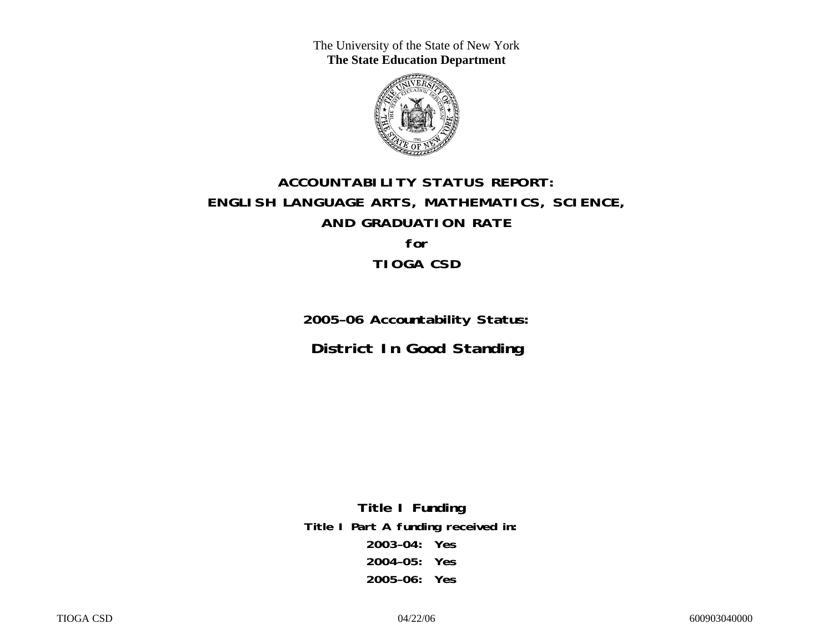The University of the State of New York **The State Education Department** 



# **ACCOUNTABILITY STATUS REPORT: ENGLISH LANGUAGE ARTS, MATHEMATICS, SCIENCE, AND GRADUATION RATE for TIOGA CSD**

**2005–06 Accountability Status: District In Good Standing** 

**Title I Funding Title I Part A funding received in: 2003–04: Yes 2004–05: Yes 2005–06: Yes**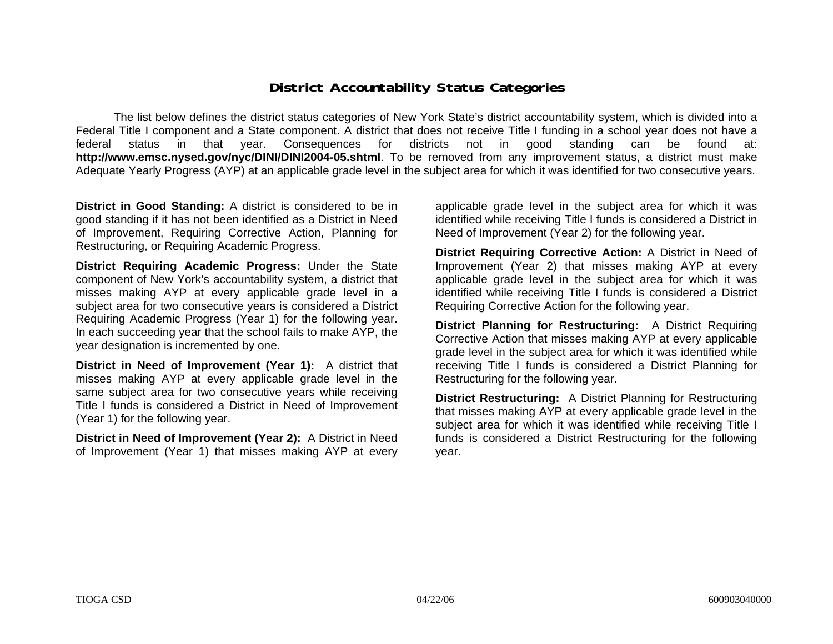### **District Accountability Status Categories**

The list below defines the district status categories of New York State's district accountability system, which is divided into a Federal Title I component and a State component. A district that does not receive Title I funding in a school year does not have a federal status in that year. Consequences for districts not in good standing can be found at: **http://www.emsc.nysed.gov/nyc/DINI/DINI2004-05.shtml**. To be removed from any improvement status, a district must make Adequate Yearly Progress (AYP) at an applicable grade level in the subject area for which it was identified for two consecutive years.

**District in Good Standing:** A district is considered to be in good standing if it has not been identified as a District in Need of Improvement, Requiring Corrective Action, Planning for Restructuring, or Requiring Academic Progress.

**District Requiring Academic Progress:** Under the State component of New York's accountability system, a district that misses making AYP at every applicable grade level in a subject area for two consecutive years is considered a District Requiring Academic Progress (Year 1) for the following year. In each succeeding year that the school fails to make AYP, the year designation is incremented by one.

**District in Need of Improvement (Year 1):** A district that misses making AYP at every applicable grade level in the same subject area for two consecutive years while receiving Title I funds is considered a District in Need of Improvement (Year 1) for the following year.

**District in Need of Improvement (Year 2):** A District in Need of Improvement (Year 1) that misses making AYP at every

applicable grade level in the subject area for which it was identified while receiving Title I funds is considered a District in Need of Improvement (Year 2) for the following year.

**District Requiring Corrective Action:** A District in Need of Improvement (Year 2) that misses making AYP at every applicable grade level in the subject area for which it was identified while receiving Title I funds is considered a District Requiring Corrective Action for the following year.

**District Planning for Restructuring:** A District Requiring Corrective Action that misses making AYP at every applicable grade level in the subject area for which it was identified while receiving Title I funds is considered a District Planning for Restructuring for the following year.

**District Restructuring:** A District Planning for Restructuring that misses making AYP at every applicable grade level in the subject area for which it was identified while receiving Title I funds is considered a District Restructuring for the following year.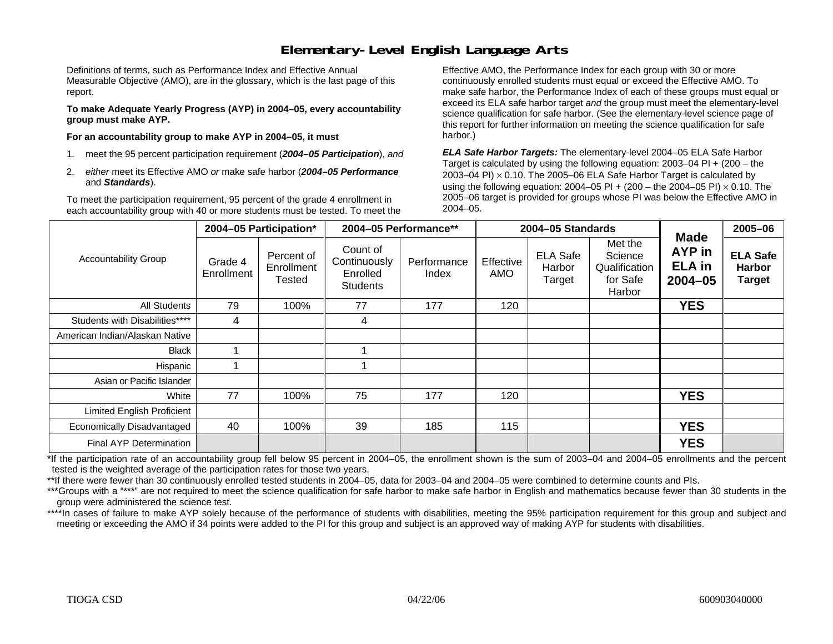### **Elementary-Level English Language Arts**

Definitions of terms, such as Performance Index and Effective Annual Measurable Objective (AMO), are in the glossary, which is the last page of this report.

**To make Adequate Yearly Progress (AYP) in 2004–05, every accountability group must make AYP.** 

**For an accountability group to make AYP in 2004–05, it must** 

- 1. meet the 95 percent participation requirement (*2004–05 Participation*), *and*
- 2. *either* meet its Effective AMO *or* make safe harbor (*2004–05 Performance*  and *Standards*).

To meet the participation requirement, 95 percent of the grade 4 enrollment in each accountability group with 40 or more students must be tested. To meet the

Effective AMO, the Performance Index for each group with 30 or more continuously enrolled students must equal or exceed the Effective AMO. To make safe harbor, the Performance Index of each of these groups must equal or exceed its ELA safe harbor target *and* the group must meet the elementary-level science qualification for safe harbor. (See the elementary-level science page of this report for further information on meeting the science qualification for safe harbor.)

*ELA Safe Harbor Targets:* The elementary-level 2004–05 ELA Safe Harbor Target is calculated by using the following equation: 2003–04 PI + (200 – the 2003–04 PI)  $\times$  0.10. The 2005–06 ELA Safe Harbor Target is calculated by using the following equation: 2004–05 PI + (200 – the 2004–05 PI) × 0.10. The 2005–06 target is provided for groups whose PI was below the Effective AMO in 2004–05.

|                                |                       | 2004-05 Participation*                    | 2004-05 Performance**                                   |                      |                  | 2004-05 Standards                   |                                                           | <b>Made</b>                            | 2005-06                                           |
|--------------------------------|-----------------------|-------------------------------------------|---------------------------------------------------------|----------------------|------------------|-------------------------------------|-----------------------------------------------------------|----------------------------------------|---------------------------------------------------|
| <b>Accountability Group</b>    | Grade 4<br>Enrollment | Percent of<br>Enrollment<br><b>Tested</b> | Count of<br>Continuously<br>Enrolled<br><b>Students</b> | Performance<br>Index | Effective<br>AMO | <b>ELA Safe</b><br>Harbor<br>Target | Met the<br>Science<br>Qualification<br>for Safe<br>Harbor | AYP in<br><b>ELA</b> in<br>$2004 - 05$ | <b>ELA Safe</b><br><b>Harbor</b><br><b>Target</b> |
| <b>All Students</b>            | 79                    | 100%                                      | 77                                                      | 177                  | 120              |                                     |                                                           | <b>YES</b>                             |                                                   |
| Students with Disabilities**** | 4                     |                                           | 4                                                       |                      |                  |                                     |                                                           |                                        |                                                   |
| American Indian/Alaskan Native |                       |                                           |                                                         |                      |                  |                                     |                                                           |                                        |                                                   |
| <b>Black</b>                   | ۰                     |                                           |                                                         |                      |                  |                                     |                                                           |                                        |                                                   |
| <b>Hispanic</b>                |                       |                                           |                                                         |                      |                  |                                     |                                                           |                                        |                                                   |
| Asian or Pacific Islander      |                       |                                           |                                                         |                      |                  |                                     |                                                           |                                        |                                                   |
| White                          | 77                    | 100%                                      | 75                                                      | 177                  | 120              |                                     |                                                           | <b>YES</b>                             |                                                   |
| Limited English Proficient     |                       |                                           |                                                         |                      |                  |                                     |                                                           |                                        |                                                   |
| Economically Disadvantaged     | 40                    | 100%                                      | 39                                                      | 185                  | 115              |                                     |                                                           | <b>YES</b>                             |                                                   |
| Final AYP Determination        |                       |                                           |                                                         |                      |                  |                                     |                                                           | <b>YES</b>                             |                                                   |

\*If the participation rate of an accountability group fell below 95 percent in 2004–05, the enrollment shown is the sum of 2003–04 and 2004–05 enrollments and the percent tested is the weighted average of the participation rates for those two years.

\*\*If there were fewer than 30 continuously enrolled tested students in 2004–05, data for 2003–04 and 2004–05 were combined to determine counts and PIs.

\*\*\*Groups with a "\*\*\*" are not required to meet the science qualification for safe harbor to make safe harbor in English and mathematics because fewer than 30 students in the group were administered the science test.

\*\*\*\*In cases of failure to make AYP solely because of the performance of students with disabilities, meeting the 95% participation requirement for this group and subject and meeting or exceeding the AMO if 34 points were added to the PI for this group and subject is an approved way of making AYP for students with disabilities.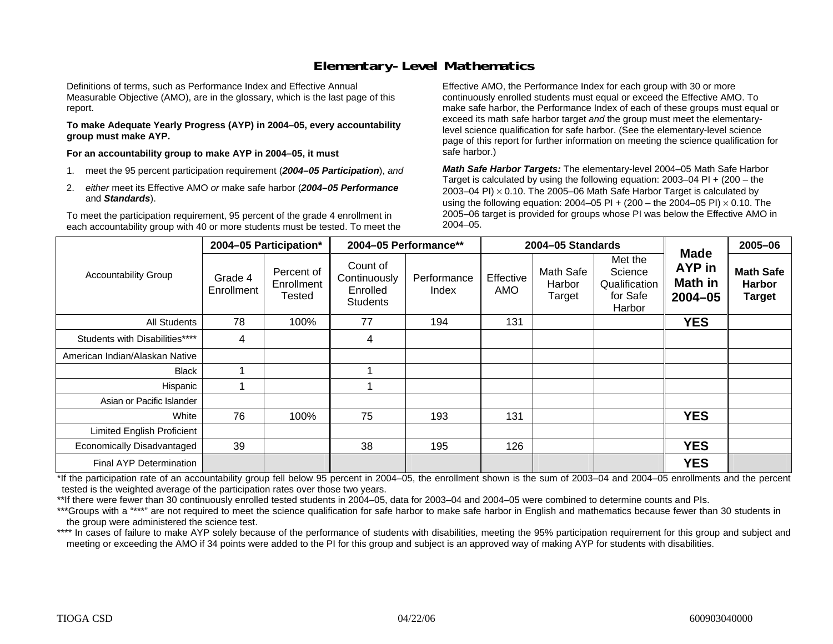## **Elementary-Level Mathematics**

Definitions of terms, such as Performance Index and Effective Annual Measurable Objective (AMO), are in the glossary, which is the last page of this report.

**To make Adequate Yearly Progress (AYP) in 2004–05, every accountability group must make AYP.** 

**For an accountability group to make AYP in 2004–05, it must** 

- 1. meet the 95 percent participation requirement (*2004–05 Participation*), *and*
- 2. *either* meet its Effective AMO *or* make safe harbor (*2004–05 Performance*  and *Standards*).

To meet the participation requirement, 95 percent of the grade 4 enrollment in each accountability group with 40 or more students must be tested. To meet the

Effective AMO, the Performance Index for each group with 30 or more continuously enrolled students must equal or exceed the Effective AMO. To make safe harbor, the Performance Index of each of these groups must equal or exceed its math safe harbor target *and* the group must meet the elementarylevel science qualification for safe harbor. (See the elementary-level science page of this report for further information on meeting the science qualification for safe harbor.)

*Math Safe Harbor Targets:* The elementary-level 2004–05 Math Safe Harbor Target is calculated by using the following equation: 2003–04 PI + (200 – the 2003–04 PI)  $\times$  0.10. The 2005–06 Math Safe Harbor Target is calculated by using the following equation: 2004–05 PI + (200 – the 2004–05 PI) × 0.10. The 2005–06 target is provided for groups whose PI was below the Effective AMO in 2004–05.

|                                   |                       | 2004-05 Participation*             |                                                         | 2004-05 Performance** |                  | 2004-05 Standards             |                                                           |                                                        | 2005-06                                            |
|-----------------------------------|-----------------------|------------------------------------|---------------------------------------------------------|-----------------------|------------------|-------------------------------|-----------------------------------------------------------|--------------------------------------------------------|----------------------------------------------------|
| <b>Accountability Group</b>       | Grade 4<br>Enrollment | Percent of<br>Enrollment<br>Tested | Count of<br>Continuously<br>Enrolled<br><b>Students</b> | Performance<br>Index  | Effective<br>AMO | Math Safe<br>Harbor<br>Target | Met the<br>Science<br>Qualification<br>for Safe<br>Harbor | <b>Made</b><br>AYP in<br><b>Math in</b><br>$2004 - 05$ | <b>Math Safe</b><br><b>Harbor</b><br><b>Target</b> |
| All Students                      | 78                    | 100%                               | 77                                                      | 194                   | 131              |                               |                                                           | <b>YES</b>                                             |                                                    |
| Students with Disabilities****    | 4                     |                                    | 4                                                       |                       |                  |                               |                                                           |                                                        |                                                    |
| American Indian/Alaskan Native    |                       |                                    |                                                         |                       |                  |                               |                                                           |                                                        |                                                    |
| <b>Black</b>                      |                       |                                    |                                                         |                       |                  |                               |                                                           |                                                        |                                                    |
| Hispanic                          |                       |                                    |                                                         |                       |                  |                               |                                                           |                                                        |                                                    |
| Asian or Pacific Islander         |                       |                                    |                                                         |                       |                  |                               |                                                           |                                                        |                                                    |
| White                             | 76                    | 100%                               | 75                                                      | 193                   | 131              |                               |                                                           | <b>YES</b>                                             |                                                    |
| <b>Limited English Proficient</b> |                       |                                    |                                                         |                       |                  |                               |                                                           |                                                        |                                                    |
| Economically Disadvantaged        | 39                    |                                    | 38                                                      | 195                   | 126              |                               |                                                           | <b>YES</b>                                             |                                                    |
| Final AYP Determination           |                       |                                    |                                                         |                       |                  |                               |                                                           | <b>YES</b>                                             |                                                    |

\*If the participation rate of an accountability group fell below 95 percent in 2004–05, the enrollment shown is the sum of 2003–04 and 2004–05 enrollments and the percent tested is the weighted average of the participation rates over those two years.

\*\*If there were fewer than 30 continuously enrolled tested students in 2004–05, data for 2003–04 and 2004–05 were combined to determine counts and PIs.

\*\*\*Groups with a "\*\*\*" are not required to meet the science qualification for safe harbor to make safe harbor in English and mathematics because fewer than 30 students in the group were administered the science test.

\*\*\*\* In cases of failure to make AYP solely because of the performance of students with disabilities, meeting the 95% participation requirement for this group and subject and meeting or exceeding the AMO if 34 points were added to the PI for this group and subject is an approved way of making AYP for students with disabilities.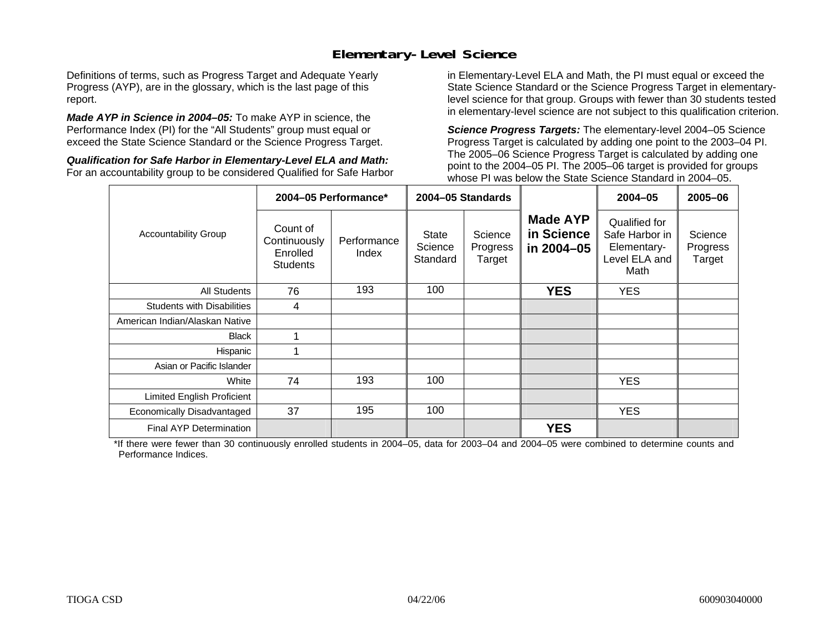## **Elementary-Level Science**

Definitions of terms, such as Progress Target and Adequate Yearly Progress (AYP), are in the glossary, which is the last page of this report.

*Made AYP in Science in 2004–05:* To make AYP in science, the Performance Index (PI) for the "All Students" group must equal or exceed the State Science Standard or the Science Progress Target.

*Qualification for Safe Harbor in Elementary-Level ELA and Math:* For an accountability group to be considered Qualified for Safe Harbor in Elementary-Level ELA and Math, the PI must equal or exceed the State Science Standard or the Science Progress Target in elementarylevel science for that group. Groups with fewer than 30 students tested in elementary-level science are not subject to this qualification criterion.

*Science Progress Targets:* The elementary-level 2004–05 Science Progress Target is calculated by adding one point to the 2003–04 PI. The 2005–06 Science Progress Target is calculated by adding one point to the 2004–05 PI. The 2005–06 target is provided for groups whose PI was below the State Science Standard in 2004–05.

|                                   |                                                         | 2004-05 Performance* |                              | 2004-05 Standards             |                                             | $2004 - 05$                                                             | 2005-06                       |
|-----------------------------------|---------------------------------------------------------|----------------------|------------------------------|-------------------------------|---------------------------------------------|-------------------------------------------------------------------------|-------------------------------|
| <b>Accountability Group</b>       | Count of<br>Continuously<br>Enrolled<br><b>Students</b> | Performance<br>Index | State<br>Science<br>Standard | Science<br>Progress<br>Target | <b>Made AYP</b><br>in Science<br>in 2004-05 | Qualified for<br>Safe Harbor in<br>Elementary-<br>Level ELA and<br>Math | Science<br>Progress<br>Target |
| <b>All Students</b>               | 76                                                      | 193                  | 100                          |                               | <b>YES</b>                                  | YES.                                                                    |                               |
| <b>Students with Disabilities</b> | 4                                                       |                      |                              |                               |                                             |                                                                         |                               |
| American Indian/Alaskan Native    |                                                         |                      |                              |                               |                                             |                                                                         |                               |
| <b>Black</b>                      |                                                         |                      |                              |                               |                                             |                                                                         |                               |
| Hispanic                          |                                                         |                      |                              |                               |                                             |                                                                         |                               |
| Asian or Pacific Islander         |                                                         |                      |                              |                               |                                             |                                                                         |                               |
| White                             | 74                                                      | 193                  | 100                          |                               |                                             | <b>YES</b>                                                              |                               |
| Limited English Proficient        |                                                         |                      |                              |                               |                                             |                                                                         |                               |
| Economically Disadvantaged        | 37                                                      | 195                  | 100                          |                               |                                             | YES.                                                                    |                               |
| <b>Final AYP Determination</b>    |                                                         |                      |                              |                               | <b>YES</b>                                  |                                                                         |                               |

\*If there were fewer than 30 continuously enrolled students in 2004–05, data for 2003–04 and 2004–05 were combined to determine counts and Performance Indices.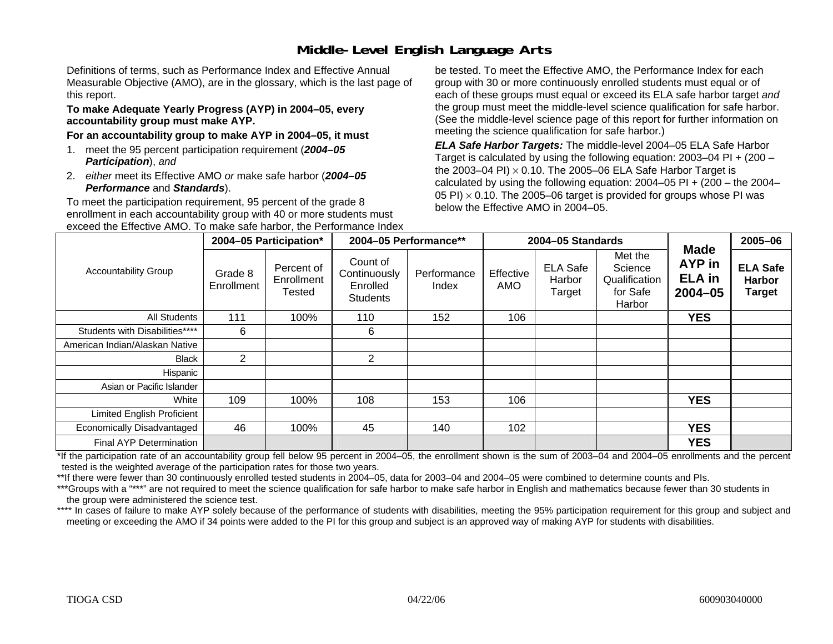# **Middle-Level English Language Arts**

Definitions of terms, such as Performance Index and Effective Annual Measurable Objective (AMO), are in the glossary, which is the last page of this report.

#### **To make Adequate Yearly Progress (AYP) in 2004–05, every accountability group must make AYP.**

#### **For an accountability group to make AYP in 2004–05, it must**

- 1. meet the 95 percent participation requirement (*2004–05 Participation*), *and*
- 2. *either* meet its Effective AMO *or* make safe harbor (*2004–05 Performance* and *Standards*).

To meet the participation requirement, 95 percent of the grade 8 enrollment in each accountability group with 40 or more students must exceed the Effective AMO. To make safe harbor, the Performance Index be tested. To meet the Effective AMO, the Performance Index for each group with 30 or more continuously enrolled students must equal or of each of these groups must equal or exceed its ELA safe harbor target *and* the group must meet the middle-level science qualification for safe harbor. (See the middle-level science page of this report for further information on meeting the science qualification for safe harbor.)

*ELA Safe Harbor Targets:* The middle-level 2004–05 ELA Safe Harbor Target is calculated by using the following equation: 2003–04 PI + (200 – the 2003–04 PI) <sup>×</sup> 0.10. The 2005–06 ELA Safe Harbor Target is calculated by using the following equation:  $2004-05$  PI +  $(200 -$  the  $2004-$ 05 PI)  $\times$  0.10. The 2005–06 target is provided for groups whose PI was below the Effective AMO in 2004–05.

|                                |                       | 2004-05 Participation*                    |                                                         | 2004-05 Performance** |                  | 2004-05 Standards                   |                                                           |                                                | 2005-06                                           |
|--------------------------------|-----------------------|-------------------------------------------|---------------------------------------------------------|-----------------------|------------------|-------------------------------------|-----------------------------------------------------------|------------------------------------------------|---------------------------------------------------|
| <b>Accountability Group</b>    | Grade 8<br>Enrollment | Percent of<br>Enrollment<br><b>Tested</b> | Count of<br>Continuously<br>Enrolled<br><b>Students</b> | Performance<br>Index  | Effective<br>AMO | <b>ELA Safe</b><br>Harbor<br>Target | Met the<br>Science<br>Qualification<br>for Safe<br>Harbor | Made<br>AYP in<br><b>ELA</b> in<br>$2004 - 05$ | <b>ELA Safe</b><br><b>Harbor</b><br><b>Target</b> |
| All Students                   | 111                   | 100%                                      | 110                                                     | 152                   | 106              |                                     |                                                           | <b>YES</b>                                     |                                                   |
| Students with Disabilities**** | 6                     |                                           | 6                                                       |                       |                  |                                     |                                                           |                                                |                                                   |
| American Indian/Alaskan Native |                       |                                           |                                                         |                       |                  |                                     |                                                           |                                                |                                                   |
| <b>Black</b>                   | $\overline{2}$        |                                           | $\overline{2}$                                          |                       |                  |                                     |                                                           |                                                |                                                   |
| Hispanic                       |                       |                                           |                                                         |                       |                  |                                     |                                                           |                                                |                                                   |
| Asian or Pacific Islander      |                       |                                           |                                                         |                       |                  |                                     |                                                           |                                                |                                                   |
| White                          | 109                   | 100%                                      | 108                                                     | 153                   | 106              |                                     |                                                           | <b>YES</b>                                     |                                                   |
| Limited English Proficient     |                       |                                           |                                                         |                       |                  |                                     |                                                           |                                                |                                                   |
| Economically Disadvantaged     | 46                    | 100%                                      | 45                                                      | 140                   | 102              |                                     |                                                           | <b>YES</b>                                     |                                                   |
| Final AYP Determination        |                       |                                           |                                                         |                       |                  |                                     |                                                           | <b>YES</b>                                     |                                                   |

\*If the participation rate of an accountability group fell below 95 percent in 2004–05, the enrollment shown is the sum of 2003–04 and 2004–05 enrollments and the percent tested is the weighted average of the participation rates for those two years.

\*\*If there were fewer than 30 continuously enrolled tested students in 2004–05, data for 2003–04 and 2004–05 were combined to determine counts and PIs.

\*\*\*Groups with a "\*\*\*" are not required to meet the science qualification for safe harbor to make safe harbor in English and mathematics because fewer than 30 students in the group were administered the science test.

\*\*\*\* In cases of failure to make AYP solely because of the performance of students with disabilities, meeting the 95% participation requirement for this group and subject and meeting or exceeding the AMO if 34 points were added to the PI for this group and subject is an approved way of making AYP for students with disabilities.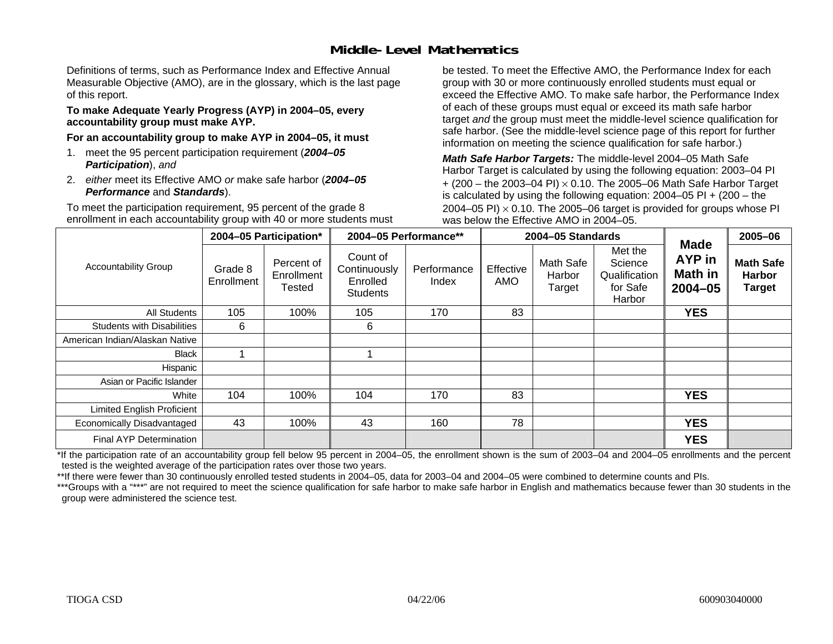### **Middle-Level Mathematics**

Definitions of terms, such as Performance Index and Effective Annual Measurable Objective (AMO), are in the glossary, which is the last page of this report.

#### **To make Adequate Yearly Progress (AYP) in 2004–05, every accountability group must make AYP.**

**For an accountability group to make AYP in 2004–05, it must** 

- 1. meet the 95 percent participation requirement (*2004–05 Participation*), *and*
- 2. *either* meet its Effective AMO *or* make safe harbor (*2004–05 Performance* and *Standards*).

To meet the participation requirement, 95 percent of the grade 8 enrollment in each accountability group with 40 or more students must be tested. To meet the Effective AMO, the Performance Index for each group with 30 or more continuously enrolled students must equal or exceed the Effective AMO. To make safe harbor, the Performance Index of each of these groups must equal or exceed its math safe harbor target *and* the group must meet the middle-level science qualification for safe harbor. (See the middle-level science page of this report for further information on meeting the science qualification for safe harbor.)

*Math Safe Harbor Targets:* The middle-level 2004–05 Math Safe Harbor Target is calculated by using the following equation: 2003–04 PI + (200 – the 2003–04 PI) <sup>×</sup> 0.10. The 2005–06 Math Safe Harbor Target is calculated by using the following equation: 2004–05 PI + (200 – the 2004–05 PI)  $\times$  0.10. The 2005–06 target is provided for groups whose PI was below the Effective AMO in 2004–05.

|                                   |                       | 2004-05 Participation*                    |                                                         | 2004-05 Performance** |                  | 2004-05 Standards             |                                                           |                                                               | 2005-06                                            |
|-----------------------------------|-----------------------|-------------------------------------------|---------------------------------------------------------|-----------------------|------------------|-------------------------------|-----------------------------------------------------------|---------------------------------------------------------------|----------------------------------------------------|
| <b>Accountability Group</b>       | Grade 8<br>Enrollment | Percent of<br>Enrollment<br><b>Tested</b> | Count of<br>Continuously<br>Enrolled<br><b>Students</b> | Performance<br>Index  | Effective<br>AMO | Math Safe<br>Harbor<br>Target | Met the<br>Science<br>Qualification<br>for Safe<br>Harbor | <b>Made</b><br><b>AYP</b> in<br><b>Math in</b><br>$2004 - 05$ | <b>Math Safe</b><br><b>Harbor</b><br><b>Target</b> |
| All Students                      | 105                   | 100%                                      | 105                                                     | 170                   | 83               |                               |                                                           | <b>YES</b>                                                    |                                                    |
| <b>Students with Disabilities</b> | 6                     |                                           | 6                                                       |                       |                  |                               |                                                           |                                                               |                                                    |
| American Indian/Alaskan Native    |                       |                                           |                                                         |                       |                  |                               |                                                           |                                                               |                                                    |
| Black                             |                       |                                           |                                                         |                       |                  |                               |                                                           |                                                               |                                                    |
| Hispanic                          |                       |                                           |                                                         |                       |                  |                               |                                                           |                                                               |                                                    |
| Asian or Pacific Islander         |                       |                                           |                                                         |                       |                  |                               |                                                           |                                                               |                                                    |
| White                             | 104                   | 100%                                      | 104                                                     | 170                   | 83               |                               |                                                           | <b>YES</b>                                                    |                                                    |
| Limited English Proficient        |                       |                                           |                                                         |                       |                  |                               |                                                           |                                                               |                                                    |
| Economically Disadvantaged        | 43                    | 100%                                      | 43                                                      | 160                   | 78               |                               |                                                           | <b>YES</b>                                                    |                                                    |
| <b>Final AYP Determination</b>    |                       |                                           |                                                         |                       |                  |                               |                                                           | <b>YES</b>                                                    |                                                    |

\*If the participation rate of an accountability group fell below 95 percent in 2004–05, the enrollment shown is the sum of 2003–04 and 2004–05 enrollments and the percent tested is the weighted average of the participation rates over those two years.

\*\*If there were fewer than 30 continuously enrolled tested students in 2004–05, data for 2003–04 and 2004–05 were combined to determine counts and PIs.

\*\*\*Groups with a "\*\*\*" are not required to meet the science qualification for safe harbor to make safe harbor in English and mathematics because fewer than 30 students in the group were administered the science test.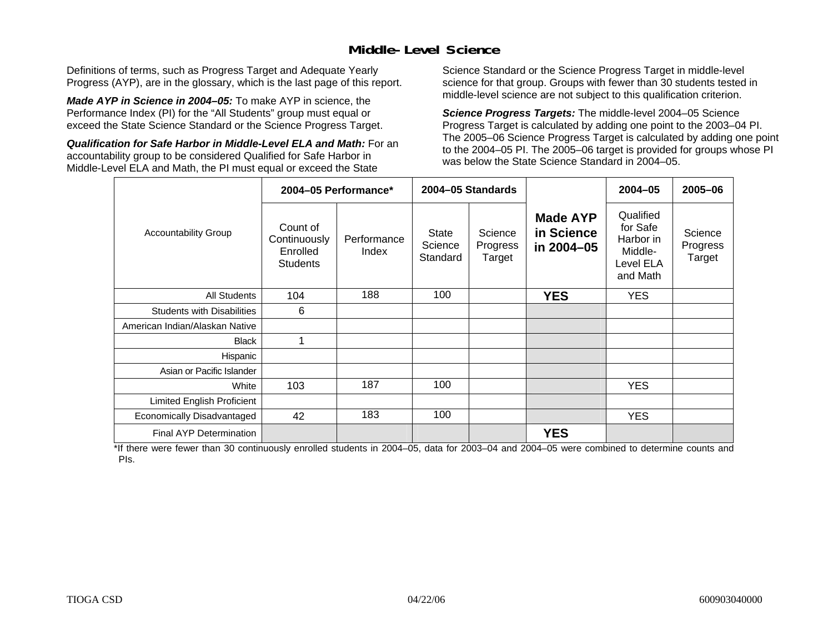### **Middle-Level Science**

Definitions of terms, such as Progress Target and Adequate Yearly Progress (AYP), are in the glossary, which is the last page of this report.

*Made AYP in Science in 2004–05:* To make AYP in science, the Performance Index (PI) for the "All Students" group must equal or exceed the State Science Standard or the Science Progress Target.

*Qualification for Safe Harbor in Middle-Level ELA and Math:* For an accountability group to be considered Qualified for Safe Harbor in Middle-Level ELA and Math, the PI must equal or exceed the State

Science Standard or the Science Progress Target in middle-level science for that group. Groups with fewer than 30 students tested in middle-level science are not subject to this qualification criterion.

*Science Progress Targets:* The middle-level 2004–05 Science Progress Target is calculated by adding one point to the 2003–04 PI. The 2005–06 Science Progress Target is calculated by adding one point to the 2004–05 PI. The 2005–06 target is provided for groups whose PI was below the State Science Standard in 2004–05.

|                                   |                                                         | 2004-05 Performance* |                                     | 2004-05 Standards             |                                             | $2004 - 05$                                                            | 2005-06                       |
|-----------------------------------|---------------------------------------------------------|----------------------|-------------------------------------|-------------------------------|---------------------------------------------|------------------------------------------------------------------------|-------------------------------|
| <b>Accountability Group</b>       | Count of<br>Continuously<br>Enrolled<br><b>Students</b> | Performance<br>Index | <b>State</b><br>Science<br>Standard | Science<br>Progress<br>Target | <b>Made AYP</b><br>in Science<br>in 2004-05 | Qualified<br>for Safe<br>Harbor in<br>Middle-<br>Level ELA<br>and Math | Science<br>Progress<br>Target |
| <b>All Students</b>               | 104                                                     | 188                  | 100                                 |                               | <b>YES</b>                                  | <b>YES</b>                                                             |                               |
| <b>Students with Disabilities</b> | 6                                                       |                      |                                     |                               |                                             |                                                                        |                               |
| American Indian/Alaskan Native    |                                                         |                      |                                     |                               |                                             |                                                                        |                               |
| <b>Black</b>                      | 1                                                       |                      |                                     |                               |                                             |                                                                        |                               |
| Hispanic                          |                                                         |                      |                                     |                               |                                             |                                                                        |                               |
| Asian or Pacific Islander         |                                                         |                      |                                     |                               |                                             |                                                                        |                               |
| White                             | 103                                                     | 187                  | 100                                 |                               |                                             | <b>YES</b>                                                             |                               |
| Limited English Proficient        |                                                         |                      |                                     |                               |                                             |                                                                        |                               |
| Economically Disadvantaged        | 42                                                      | 183                  | 100                                 |                               |                                             | <b>YES</b>                                                             |                               |
| <b>Final AYP Determination</b>    |                                                         |                      |                                     |                               | <b>YES</b>                                  |                                                                        |                               |

\*If there were fewer than 30 continuously enrolled students in 2004–05, data for 2003–04 and 2004–05 were combined to determine counts and PIs.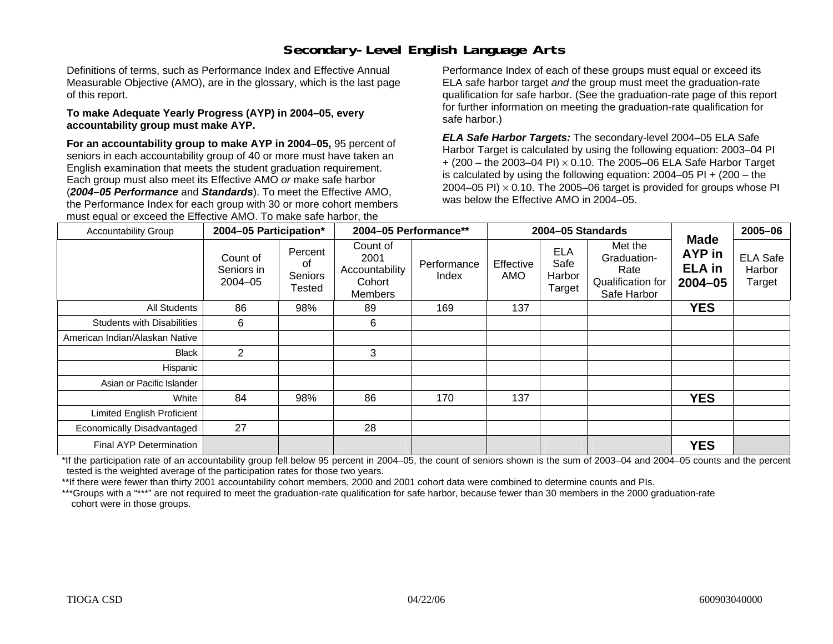# **Secondary-Level English Language Arts**

Definitions of terms, such as Performance Index and Effective Annual Measurable Objective (AMO), are in the glossary, which is the last page of this report.

#### **To make Adequate Yearly Progress (AYP) in 2004–05, every accountability group must make AYP.**

**For an accountability group to make AYP in 2004–05,** 95 percent of seniors in each accountability group of 40 or more must have taken an English examination that meets the student graduation requirement. Each group must also meet its Effective AMO *or* make safe harbor (*2004–05 Performance* and *Standards*). To meet the Effective AMO, the Performance Index for each group with 30 or more cohort members must equal or exceed the Effective AMO. To make safe harbor, the

Performance Index of each of these groups must equal or exceed its ELA safe harbor target *and* the group must meet the graduation-rate qualification for safe harbor. (See the graduation-rate page of this report for further information on meeting the graduation-rate qualification for safe harbor.)

*ELA Safe Harbor Targets:* The secondary-level 2004–05 ELA Safe Harbor Target is calculated by using the following equation: 2003–04 PI + (200 – the 2003–04 PI) <sup>×</sup> 0.10. The 2005–06 ELA Safe Harbor Target is calculated by using the following equation:  $2004-05$  PI  $+$  (200 – the 2004–05 PI)  $\times$  0.10. The 2005–06 target is provided for groups whose PI was below the Effective AMO in 2004–05.

| <b>Accountability Group</b>       | 2004-05 Participation*                |                                    | 2004-05 Performance**                                   |                      | 2004-05 Standards       |                                        |                                                                    | 2005-06                                                  |                                     |
|-----------------------------------|---------------------------------------|------------------------------------|---------------------------------------------------------|----------------------|-------------------------|----------------------------------------|--------------------------------------------------------------------|----------------------------------------------------------|-------------------------------------|
|                                   | Count of<br>Seniors in<br>$2004 - 05$ | Percent<br>0f<br>Seniors<br>Tested | Count of<br>2001<br>Accountability<br>Cohort<br>Members | Performance<br>Index | Effective<br><b>AMO</b> | <b>ELA</b><br>Safe<br>Harbor<br>Target | Met the<br>Graduation-<br>Rate<br>Qualification for<br>Safe Harbor | <b>Made</b><br><b>AYP</b> in<br><b>ELA</b> in<br>2004-05 | <b>ELA Safe</b><br>Harbor<br>Target |
| <b>All Students</b>               | 86                                    | 98%                                | 89                                                      | 169                  | 137                     |                                        |                                                                    | <b>YES</b>                                               |                                     |
| <b>Students with Disabilities</b> | 6                                     |                                    | 6                                                       |                      |                         |                                        |                                                                    |                                                          |                                     |
| American Indian/Alaskan Native    |                                       |                                    |                                                         |                      |                         |                                        |                                                                    |                                                          |                                     |
| Black                             | $\overline{2}$                        |                                    | 3                                                       |                      |                         |                                        |                                                                    |                                                          |                                     |
| Hispanic                          |                                       |                                    |                                                         |                      |                         |                                        |                                                                    |                                                          |                                     |
| Asian or Pacific Islander         |                                       |                                    |                                                         |                      |                         |                                        |                                                                    |                                                          |                                     |
| White                             | 84                                    | 98%                                | 86                                                      | 170                  | 137                     |                                        |                                                                    | <b>YES</b>                                               |                                     |
| Limited English Proficient        |                                       |                                    |                                                         |                      |                         |                                        |                                                                    |                                                          |                                     |
| Economically Disadvantaged        | 27                                    |                                    | 28                                                      |                      |                         |                                        |                                                                    |                                                          |                                     |
| Final AYP Determination           |                                       |                                    |                                                         |                      |                         |                                        |                                                                    | <b>YES</b>                                               |                                     |

\*If the participation rate of an accountability group fell below 95 percent in 2004–05, the count of seniors shown is the sum of 2003–04 and 2004–05 counts and the percent tested is the weighted average of the participation rates for those two years.

\*\*If there were fewer than thirty 2001 accountability cohort members, 2000 and 2001 cohort data were combined to determine counts and PIs.

\*\*\*Groups with a "\*\*\*" are not required to meet the graduation-rate qualification for safe harbor, because fewer than 30 members in the 2000 graduation-rate cohort were in those groups.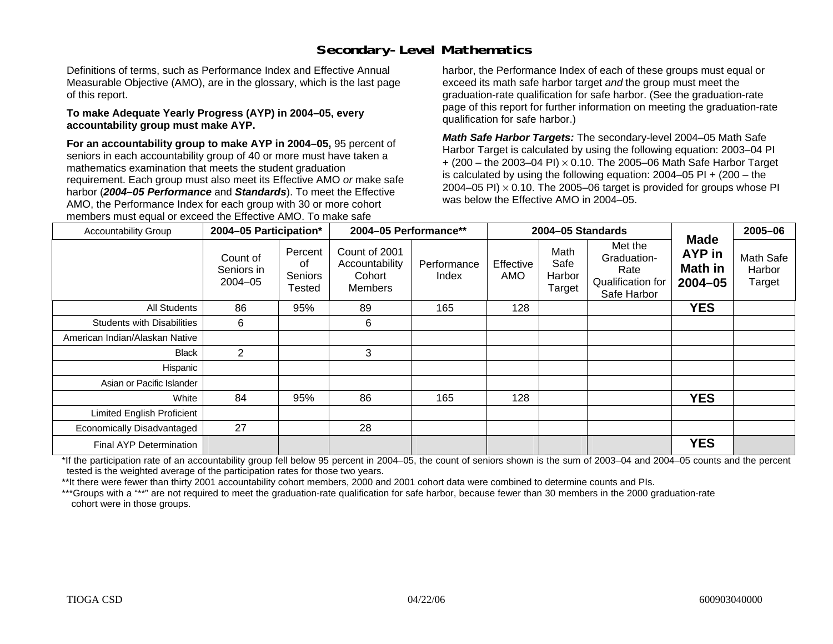# **Secondary-Level Mathematics**

Definitions of terms, such as Performance Index and Effective Annual Measurable Objective (AMO), are in the glossary, which is the last page of this report.

#### **To make Adequate Yearly Progress (AYP) in 2004–05, every accountability group must make AYP.**

**For an accountability group to make AYP in 2004–05,** 95 percent of seniors in each accountability group of 40 or more must have taken a mathematics examination that meets the student graduation requirement. Each group must also meet its Effective AMO *or* make safe harbor (*2004–05 Performance* and *Standards*). To meet the Effective AMO, the Performance Index for each group with 30 or more cohort members must equal or exceed the Effective AMO. To make safe

harbor, the Performance Index of each of these groups must equal or exceed its math safe harbor target *and* the group must meet the graduation-rate qualification for safe harbor. (See the graduation-rate page of this report for further information on meeting the graduation-rate qualification for safe harbor.)

*Math Safe Harbor Targets:* The secondary-level 2004–05 Math Safe Harbor Target is calculated by using the following equation: 2003–04 PI + (200 – the 2003–04 PI) <sup>×</sup> 0.10. The 2005–06 Math Safe Harbor Target is calculated by using the following equation:  $2004-05$  PI  $+$  (200 – the 2004–05 PI)  $\times$  0.10. The 2005–06 target is provided for groups whose PI was below the Effective AMO in 2004–05.

| <b>Accountability Group</b>       | 2004-05 Participation*            |                                    | 2004-05 Performance**                                       |                      |                  | 2004-05 Standards                |                                                                    | <b>Made</b>                      | 2005-06                       |
|-----------------------------------|-----------------------------------|------------------------------------|-------------------------------------------------------------|----------------------|------------------|----------------------------------|--------------------------------------------------------------------|----------------------------------|-------------------------------|
|                                   | Count of<br>Seniors in<br>2004-05 | Percent<br>οf<br>Seniors<br>Tested | Count of 2001<br>Accountability<br>Cohort<br><b>Members</b> | Performance<br>Index | Effective<br>AMO | Math<br>Safe<br>Harbor<br>Target | Met the<br>Graduation-<br>Rate<br>Qualification for<br>Safe Harbor | AYP in<br>Math in<br>$2004 - 05$ | Math Safe<br>Harbor<br>Target |
| All Students                      | 86                                | 95%                                | 89                                                          | 165                  | 128              |                                  |                                                                    | <b>YES</b>                       |                               |
| <b>Students with Disabilities</b> | 6                                 |                                    | 6                                                           |                      |                  |                                  |                                                                    |                                  |                               |
| American Indian/Alaskan Native    |                                   |                                    |                                                             |                      |                  |                                  |                                                                    |                                  |                               |
| <b>Black</b>                      | 2                                 |                                    | 3                                                           |                      |                  |                                  |                                                                    |                                  |                               |
| Hispanic                          |                                   |                                    |                                                             |                      |                  |                                  |                                                                    |                                  |                               |
| Asian or Pacific Islander         |                                   |                                    |                                                             |                      |                  |                                  |                                                                    |                                  |                               |
| White                             | 84                                | 95%                                | 86                                                          | 165                  | 128              |                                  |                                                                    | <b>YES</b>                       |                               |
| Limited English Proficient        |                                   |                                    |                                                             |                      |                  |                                  |                                                                    |                                  |                               |
| Economically Disadvantaged        | 27                                |                                    | 28                                                          |                      |                  |                                  |                                                                    |                                  |                               |
| Final AYP Determination           |                                   |                                    |                                                             |                      |                  |                                  |                                                                    | <b>YES</b>                       |                               |

\*If the participation rate of an accountability group fell below 95 percent in 2004–05, the count of seniors shown is the sum of 2003–04 and 2004–05 counts and the percent tested is the weighted average of the participation rates for those two years.

\*\*It there were fewer than thirty 2001 accountability cohort members, 2000 and 2001 cohort data were combined to determine counts and PIs.

\*\*\*Groups with a "\*\*" are not required to meet the graduation-rate qualification for safe harbor, because fewer than 30 members in the 2000 graduation-rate cohort were in those groups.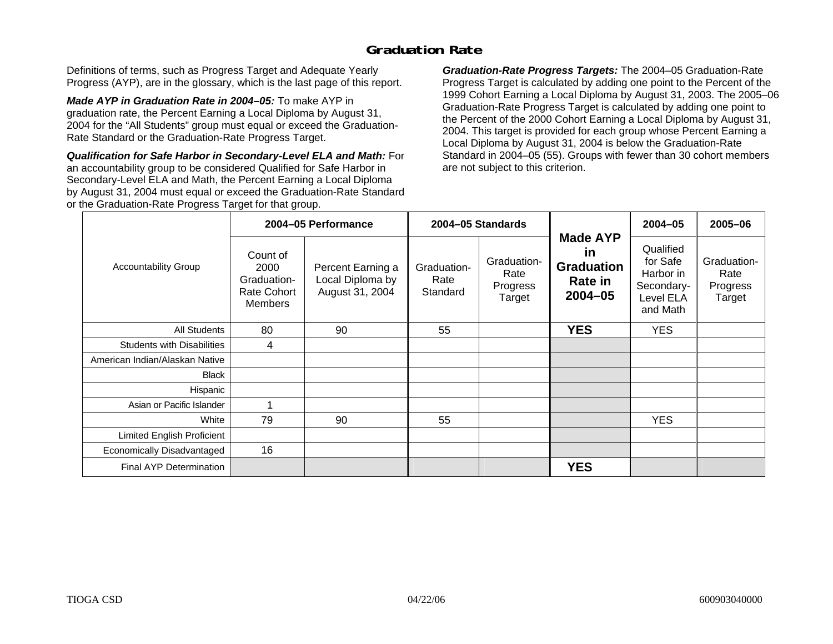### **Graduation Rate**

Definitions of terms, such as Progress Target and Adequate Yearly Progress (AYP), are in the glossary, which is the last page of this report.

*Made AYP in Graduation Rate in 2004–05:* To make AYP in graduation rate, the Percent Earning a Local Diploma by August 31, 2004 for the "All Students" group must equal or exceed the Graduation-Rate Standard or the Graduation-Rate Progress Target.

*Qualification for Safe Harbor in Secondary-Level ELA and Math:* For an accountability group to be considered Qualified for Safe Harbor in Secondary-Level ELA and Math, the Percent Earning a Local Diploma by August 31, 2004 must equal or exceed the Graduation-Rate Standard or the Graduation-Rate Progress Target for that group.

*Graduation-Rate Progress Targets:* The 2004–05 Graduation-Rate Progress Target is calculated by adding one point to the Percent of the 1999 Cohort Earning a Local Diploma by August 31, 2003. The 2005–06 Graduation-Rate Progress Target is calculated by adding one point to the Percent of the 2000 Cohort Earning a Local Diploma by August 31, 2004. This target is provided for each group whose Percent Earning a Local Diploma by August 31, 2004 is below the Graduation-Rate Standard in 2004–05 (55). Groups with fewer than 30 cohort members are not subject to this criterion.

|                                   |                                                                  | 2004-05 Performance                                      |                                 | 2004-05 Standards                         |                                                                                    | 2004-05                                                                   | 2005-06                                   |
|-----------------------------------|------------------------------------------------------------------|----------------------------------------------------------|---------------------------------|-------------------------------------------|------------------------------------------------------------------------------------|---------------------------------------------------------------------------|-------------------------------------------|
| <b>Accountability Group</b>       | Count of<br>2000<br>Graduation-<br>Rate Cohort<br><b>Members</b> | Percent Earning a<br>Local Diploma by<br>August 31, 2004 | Graduation-<br>Rate<br>Standard | Graduation-<br>Rate<br>Progress<br>Target | <b>Made AYP</b><br><u>in</u><br><b>Graduation</b><br><b>Rate in</b><br>$2004 - 05$ | Qualified<br>for Safe<br>Harbor in<br>Secondary-<br>Level ELA<br>and Math | Graduation-<br>Rate<br>Progress<br>Target |
| All Students                      | 80                                                               | 90                                                       | 55                              |                                           | <b>YES</b>                                                                         | <b>YES</b>                                                                |                                           |
| <b>Students with Disabilities</b> | 4                                                                |                                                          |                                 |                                           |                                                                                    |                                                                           |                                           |
| American Indian/Alaskan Native    |                                                                  |                                                          |                                 |                                           |                                                                                    |                                                                           |                                           |
| Black                             |                                                                  |                                                          |                                 |                                           |                                                                                    |                                                                           |                                           |
| Hispanic                          |                                                                  |                                                          |                                 |                                           |                                                                                    |                                                                           |                                           |
| Asian or Pacific Islander         |                                                                  |                                                          |                                 |                                           |                                                                                    |                                                                           |                                           |
| White                             | 79                                                               | 90                                                       | 55                              |                                           |                                                                                    | <b>YES</b>                                                                |                                           |
| Limited English Proficient        |                                                                  |                                                          |                                 |                                           |                                                                                    |                                                                           |                                           |
| Economically Disadvantaged        | 16                                                               |                                                          |                                 |                                           |                                                                                    |                                                                           |                                           |
| <b>Final AYP Determination</b>    |                                                                  |                                                          |                                 |                                           | <b>YES</b>                                                                         |                                                                           |                                           |